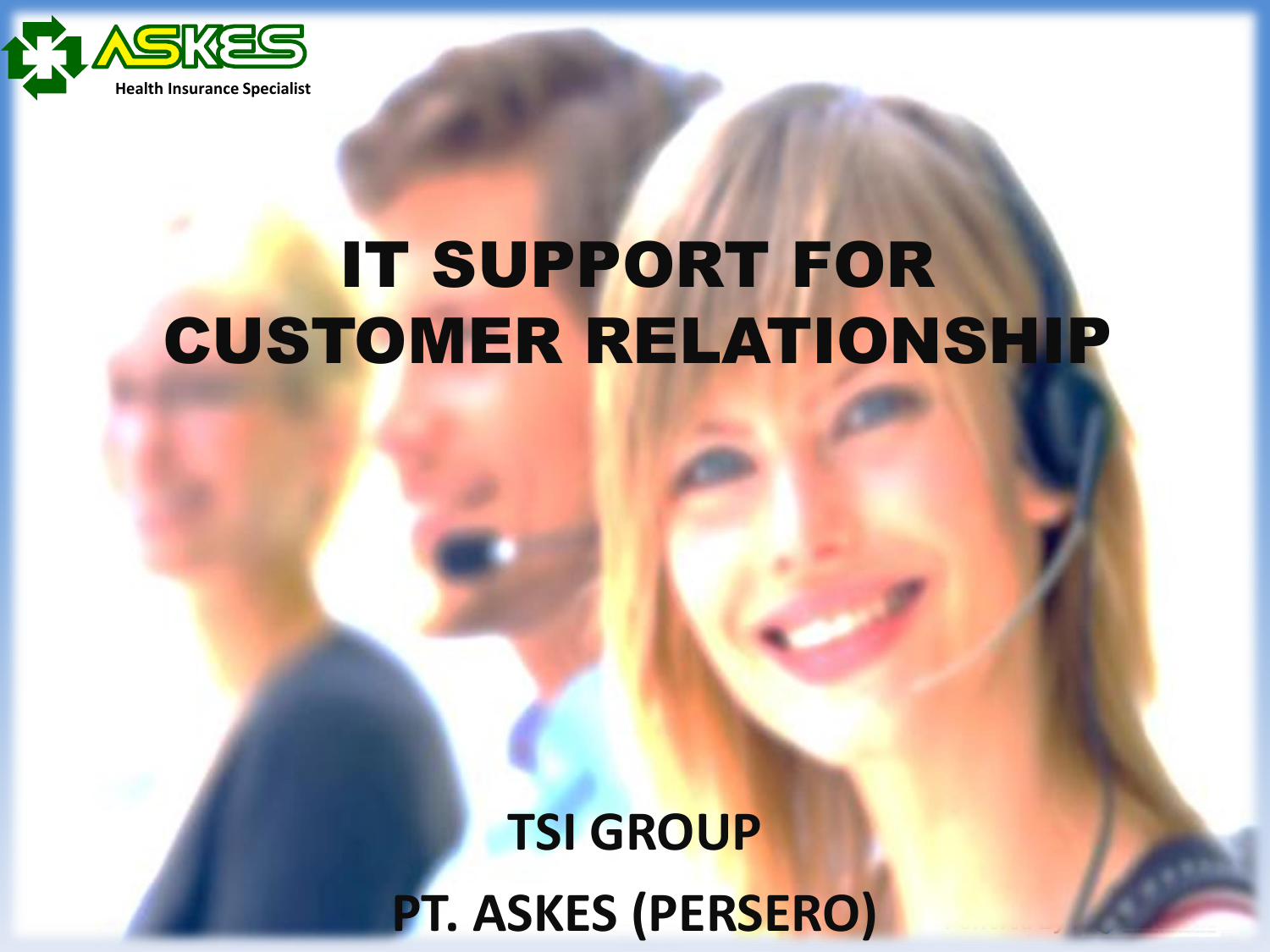

### IT SUPPORT FOR CUSTOMER RELATIONSHIP

**TSI GROUP PT. ASKES (PERSERO)**

*Powered By : :*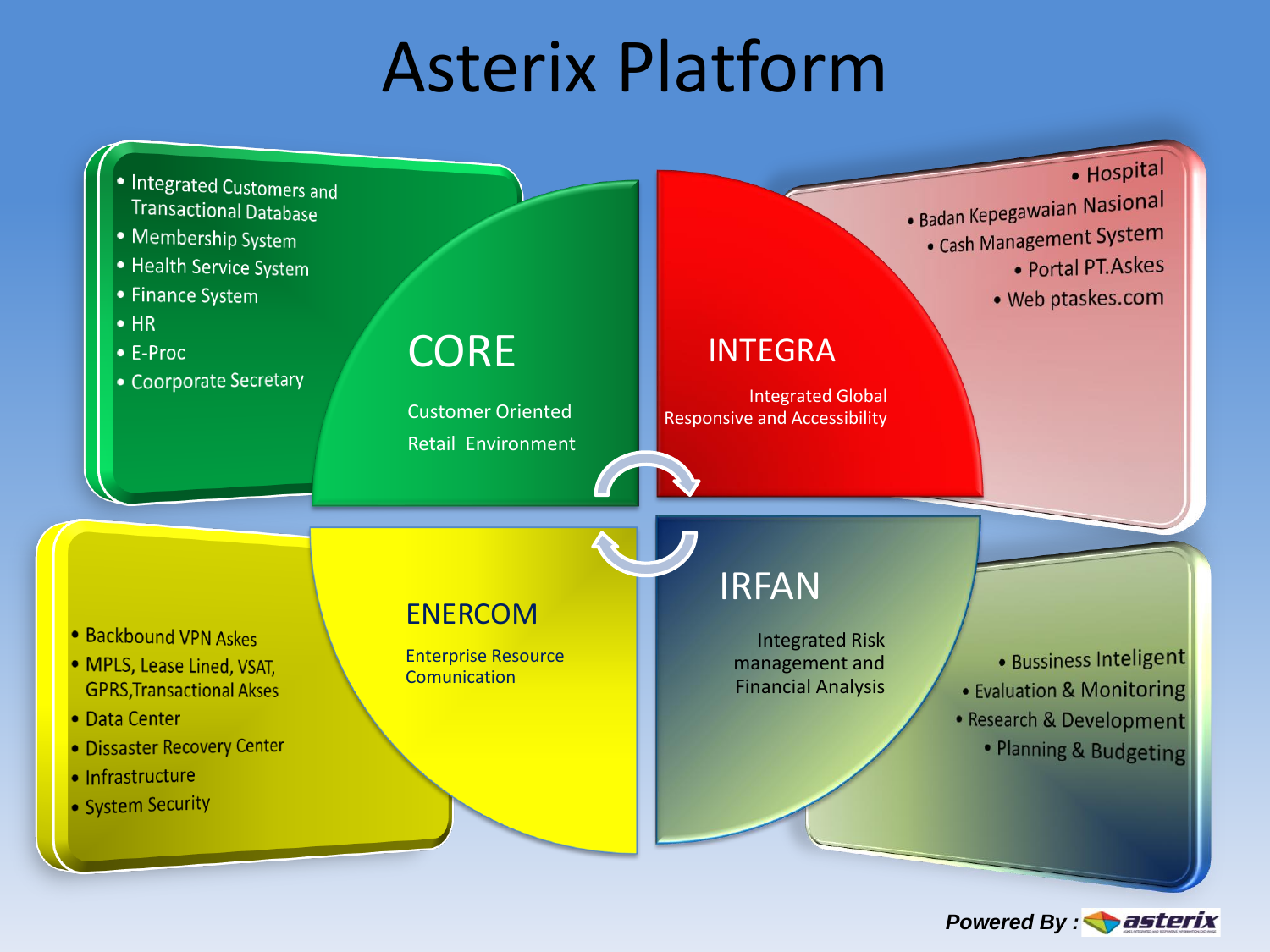## Asterix Platform



*Powered By : <i>asterix*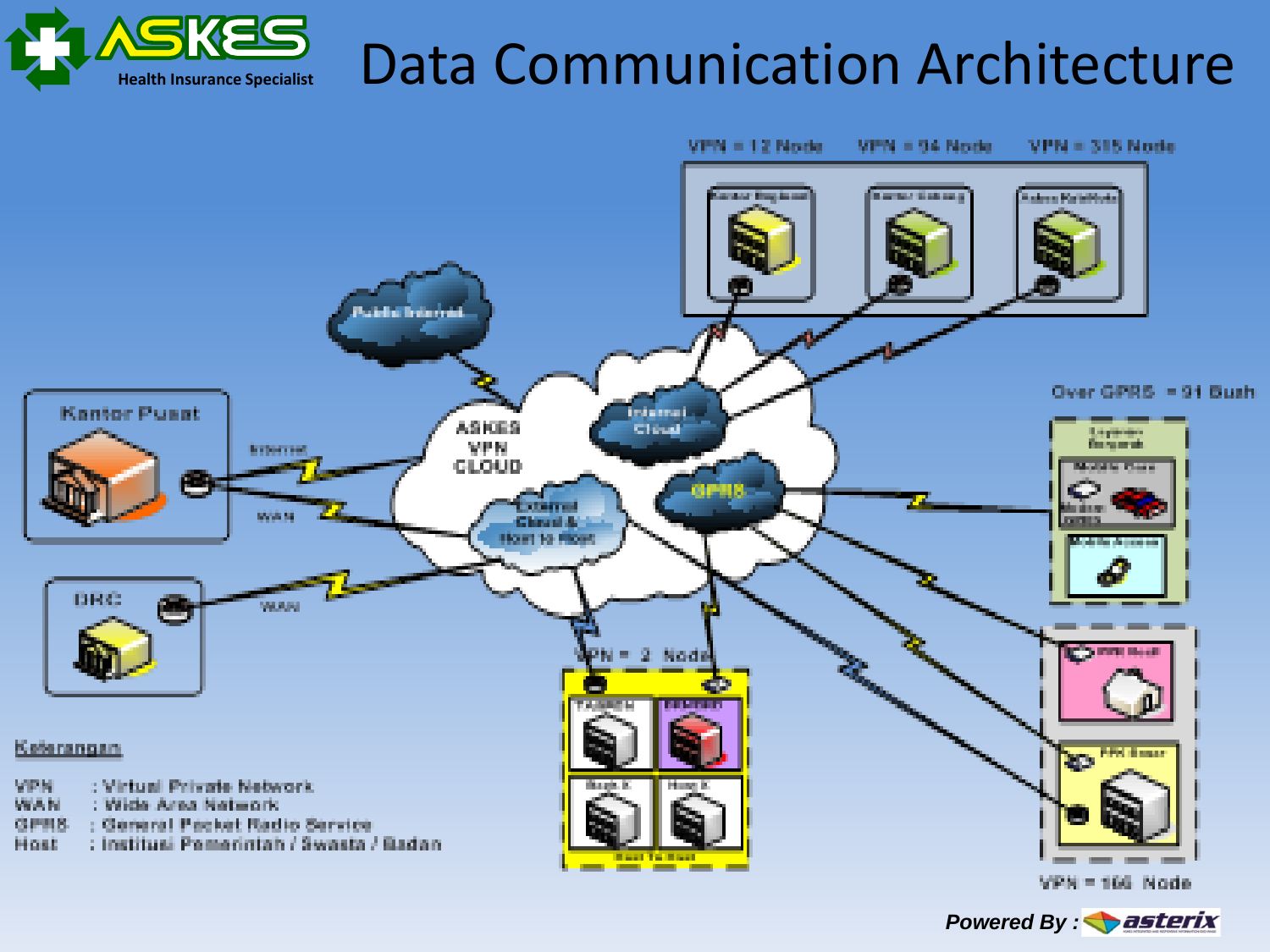

### Data Communication Architecture

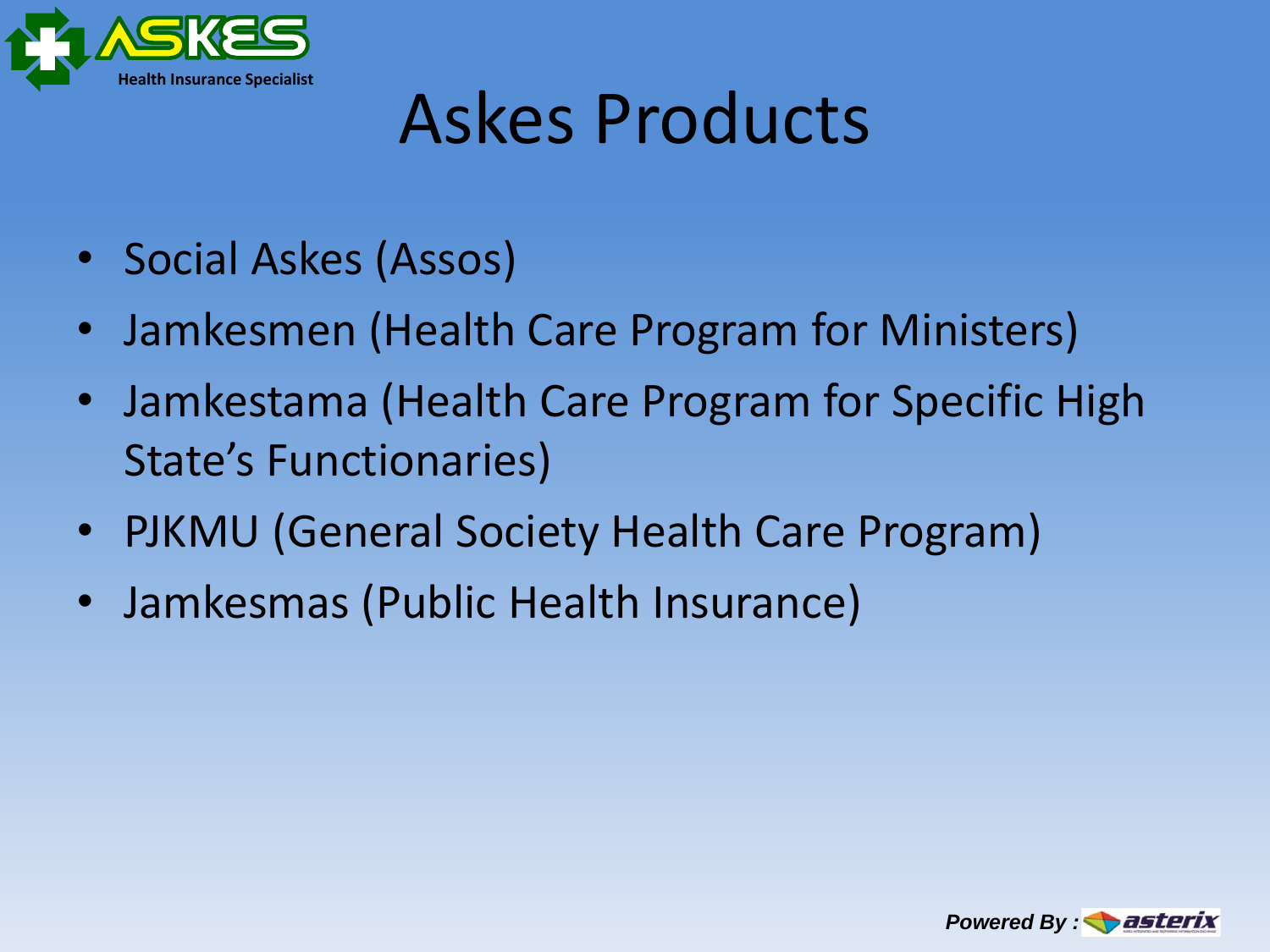

## Askes Products

- Social Askes (Assos)
- Jamkesmen (Health Care Program for Ministers)
- Jamkestama (Health Care Program for Specific High State's Functionaries)
- PJKMU (General Society Health Care Program)
- Jamkesmas (Public Health Insurance)

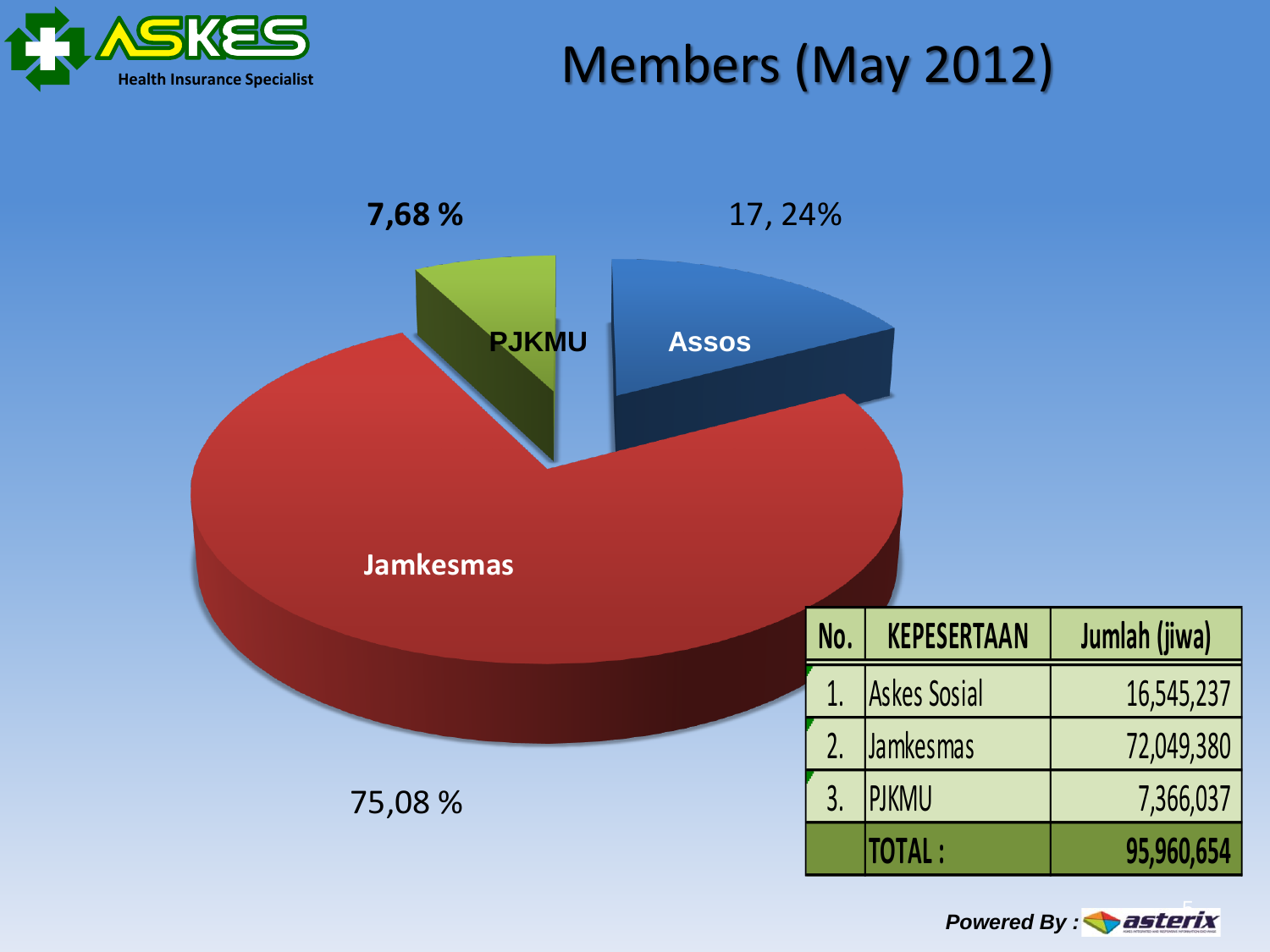

#### Members (May 2012)



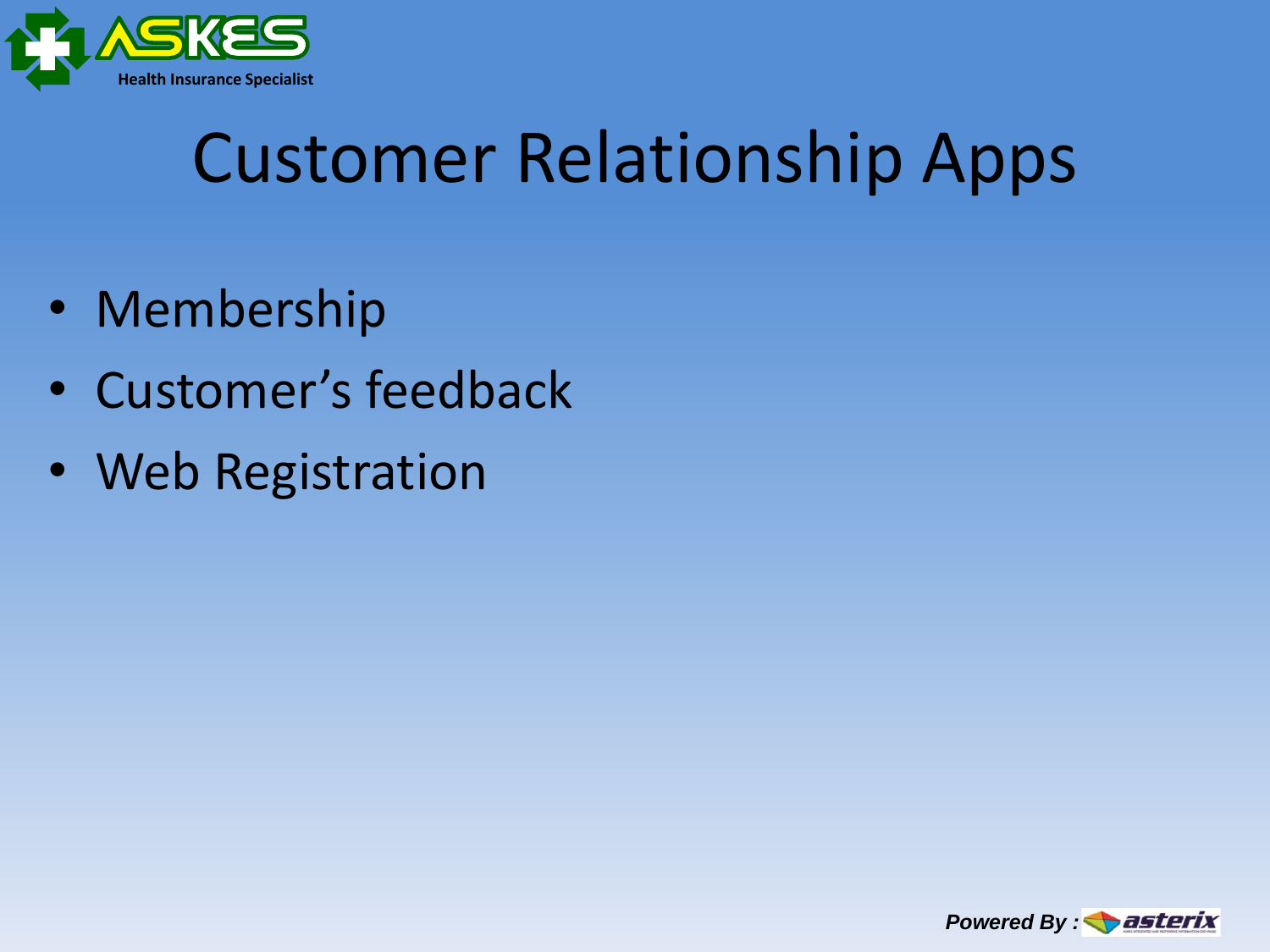

# Customer Relationship Apps

- Membership
- Customer's feedback
- Web Registration

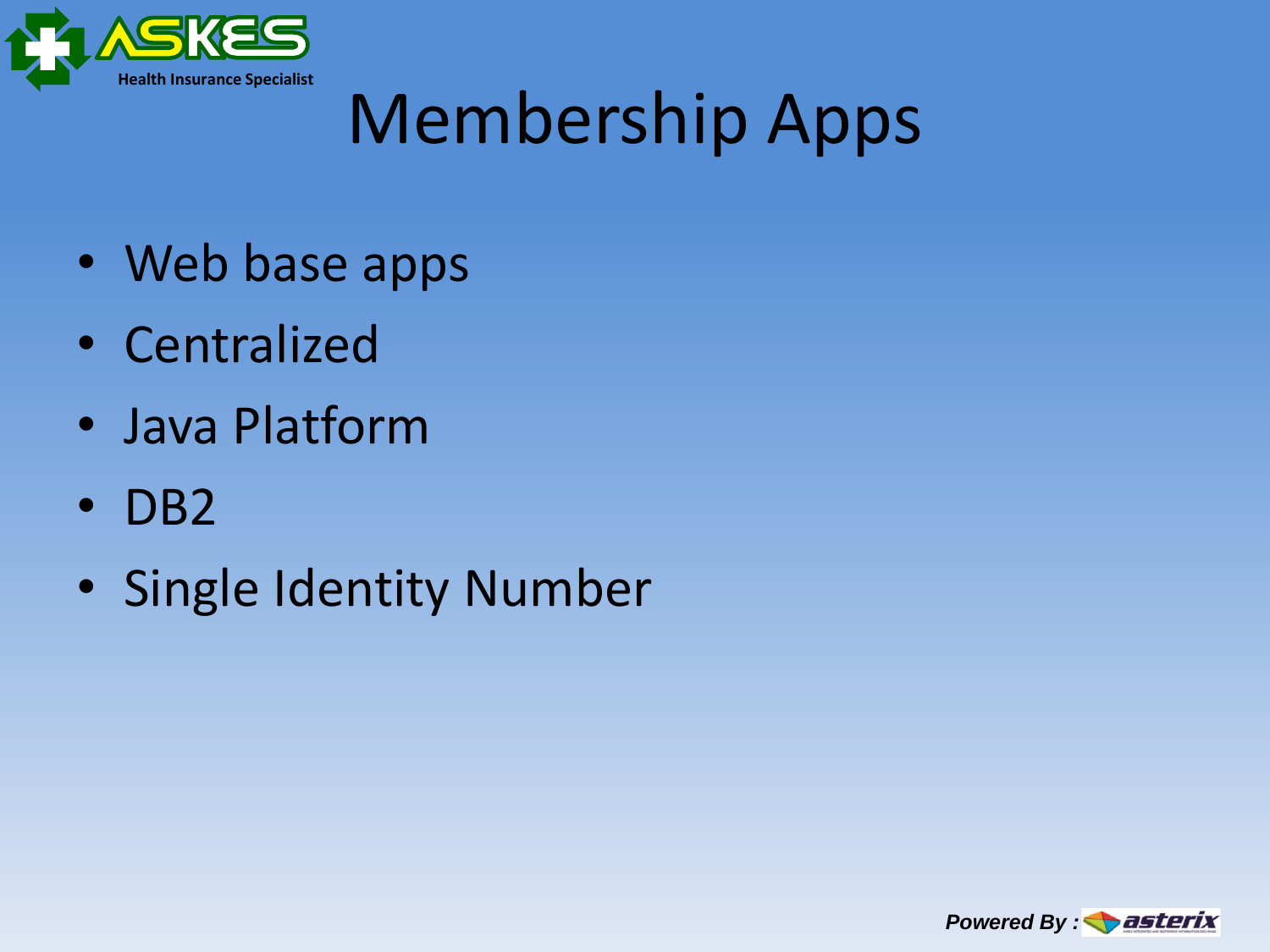

# Membership Apps

- Web base apps
- Centralized
- Java Platform
- DB2
- Single Identity Number